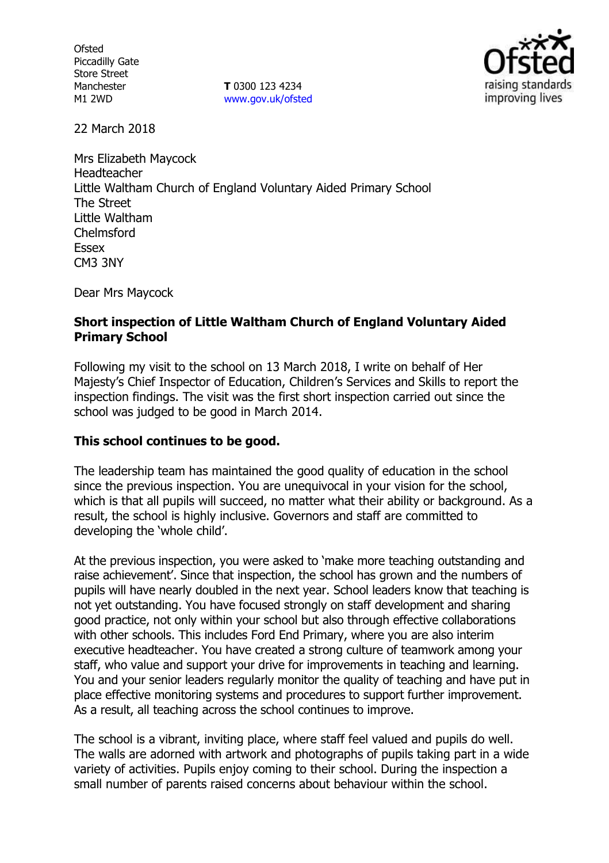**Ofsted** Piccadilly Gate Store Street Manchester M1 2WD

**T** 0300 123 4234 www.gov.uk/ofsted



22 March 2018

Mrs Elizabeth Maycock Headteacher Little Waltham Church of England Voluntary Aided Primary School The Street Little Waltham Chelmsford Essex CM3 3NY

Dear Mrs Maycock

### **Short inspection of Little Waltham Church of England Voluntary Aided Primary School**

Following my visit to the school on 13 March 2018, I write on behalf of Her Majesty's Chief Inspector of Education, Children's Services and Skills to report the inspection findings. The visit was the first short inspection carried out since the school was judged to be good in March 2014.

# **This school continues to be good.**

The leadership team has maintained the good quality of education in the school since the previous inspection. You are unequivocal in your vision for the school, which is that all pupils will succeed, no matter what their ability or background. As a result, the school is highly inclusive. Governors and staff are committed to developing the 'whole child'.

At the previous inspection, you were asked to 'make more teaching outstanding and raise achievement'. Since that inspection, the school has grown and the numbers of pupils will have nearly doubled in the next year. School leaders know that teaching is not yet outstanding. You have focused strongly on staff development and sharing good practice, not only within your school but also through effective collaborations with other schools. This includes Ford End Primary, where you are also interim executive headteacher. You have created a strong culture of teamwork among your staff, who value and support your drive for improvements in teaching and learning. You and your senior leaders regularly monitor the quality of teaching and have put in place effective monitoring systems and procedures to support further improvement. As a result, all teaching across the school continues to improve.

The school is a vibrant, inviting place, where staff feel valued and pupils do well. The walls are adorned with artwork and photographs of pupils taking part in a wide variety of activities. Pupils enjoy coming to their school. During the inspection a small number of parents raised concerns about behaviour within the school.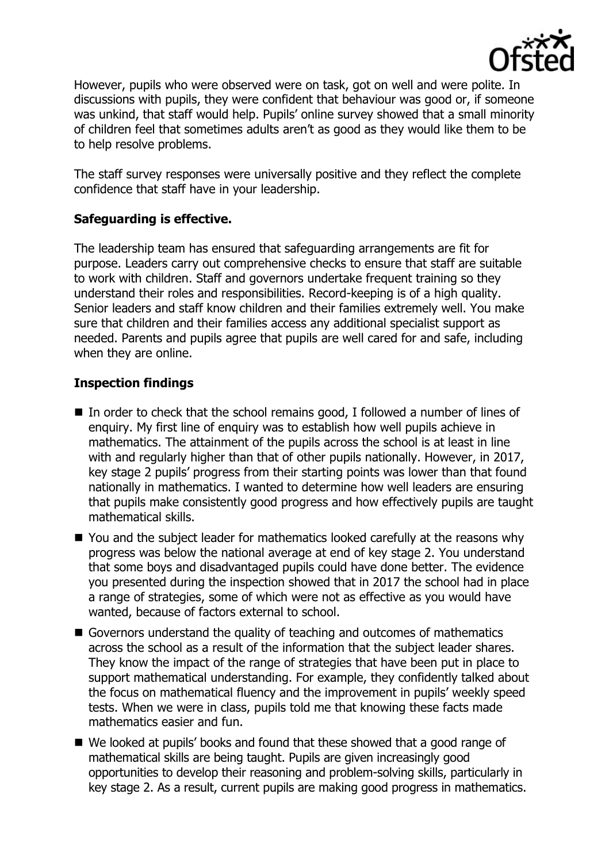

However, pupils who were observed were on task, got on well and were polite. In discussions with pupils, they were confident that behaviour was good or, if someone was unkind, that staff would help. Pupils' online survey showed that a small minority of children feel that sometimes adults aren't as good as they would like them to be to help resolve problems.

The staff survey responses were universally positive and they reflect the complete confidence that staff have in your leadership.

## **Safeguarding is effective.**

The leadership team has ensured that safeguarding arrangements are fit for purpose. Leaders carry out comprehensive checks to ensure that staff are suitable to work with children. Staff and governors undertake frequent training so they understand their roles and responsibilities. Record-keeping is of a high quality. Senior leaders and staff know children and their families extremely well. You make sure that children and their families access any additional specialist support as needed. Parents and pupils agree that pupils are well cared for and safe, including when they are online.

# **Inspection findings**

- In order to check that the school remains good, I followed a number of lines of enquiry. My first line of enquiry was to establish how well pupils achieve in mathematics. The attainment of the pupils across the school is at least in line with and regularly higher than that of other pupils nationally. However, in 2017, key stage 2 pupils' progress from their starting points was lower than that found nationally in mathematics. I wanted to determine how well leaders are ensuring that pupils make consistently good progress and how effectively pupils are taught mathematical skills.
- You and the subiect leader for mathematics looked carefully at the reasons why progress was below the national average at end of key stage 2. You understand that some boys and disadvantaged pupils could have done better. The evidence you presented during the inspection showed that in 2017 the school had in place a range of strategies, some of which were not as effective as you would have wanted, because of factors external to school.
- Governors understand the quality of teaching and outcomes of mathematics across the school as a result of the information that the subject leader shares. They know the impact of the range of strategies that have been put in place to support mathematical understanding. For example, they confidently talked about the focus on mathematical fluency and the improvement in pupils' weekly speed tests. When we were in class, pupils told me that knowing these facts made mathematics easier and fun.
- We looked at pupils' books and found that these showed that a good range of mathematical skills are being taught. Pupils are given increasingly good opportunities to develop their reasoning and problem-solving skills, particularly in key stage 2. As a result, current pupils are making good progress in mathematics.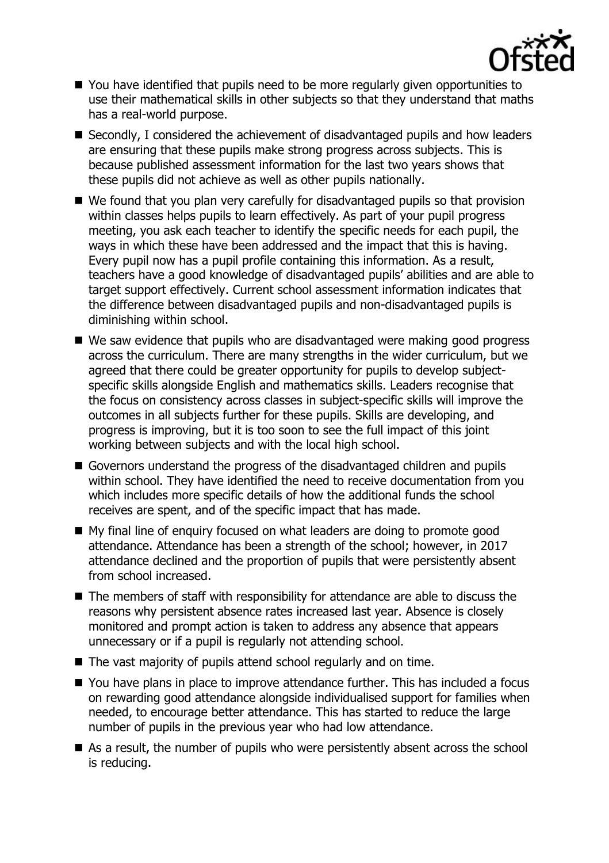

- You have identified that pupils need to be more regularly given opportunities to use their mathematical skills in other subjects so that they understand that maths has a real-world purpose.
- Secondly, I considered the achievement of disadvantaged pupils and how leaders are ensuring that these pupils make strong progress across subjects. This is because published assessment information for the last two years shows that these pupils did not achieve as well as other pupils nationally.
- We found that you plan very carefully for disadvantaged pupils so that provision within classes helps pupils to learn effectively. As part of your pupil progress meeting, you ask each teacher to identify the specific needs for each pupil, the ways in which these have been addressed and the impact that this is having. Every pupil now has a pupil profile containing this information. As a result, teachers have a good knowledge of disadvantaged pupils' abilities and are able to target support effectively. Current school assessment information indicates that the difference between disadvantaged pupils and non-disadvantaged pupils is diminishing within school.
- We saw evidence that pupils who are disadvantaged were making good progress across the curriculum. There are many strengths in the wider curriculum, but we agreed that there could be greater opportunity for pupils to develop subjectspecific skills alongside English and mathematics skills. Leaders recognise that the focus on consistency across classes in subject-specific skills will improve the outcomes in all subjects further for these pupils. Skills are developing, and progress is improving, but it is too soon to see the full impact of this joint working between subjects and with the local high school.
- Governors understand the progress of the disadvantaged children and pupils within school. They have identified the need to receive documentation from you which includes more specific details of how the additional funds the school receives are spent, and of the specific impact that has made.
- My final line of enquiry focused on what leaders are doing to promote good attendance. Attendance has been a strength of the school; however, in 2017 attendance declined and the proportion of pupils that were persistently absent from school increased.
- The members of staff with responsibility for attendance are able to discuss the reasons why persistent absence rates increased last year. Absence is closely monitored and prompt action is taken to address any absence that appears unnecessary or if a pupil is regularly not attending school.
- The vast majority of pupils attend school regularly and on time.
- You have plans in place to improve attendance further. This has included a focus on rewarding good attendance alongside individualised support for families when needed, to encourage better attendance. This has started to reduce the large number of pupils in the previous year who had low attendance.
- As a result, the number of pupils who were persistently absent across the school is reducing.